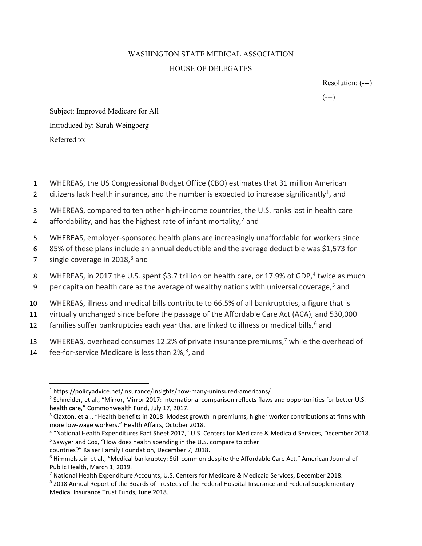## WASHINGTON STATE MEDICAL ASSOCIATION HOUSE OF DELEGATES

Resolution: (---)

 $(---)$ 

Subject: Improved Medicare for All Introduced by: Sarah Weingberg Referred to:

- 1 WHEREAS, the US Congressional Budget Office (CBO) estimates that 31 million American
- 2 citizens lack health insurance, and the number is expected to increase significantly<sup>1</sup>, and
- 3 WHEREAS, compared to ten other high-income countries, the U.S. ranks last in health care
- 4 affordability, and has the highest rate of infant mortality,<sup>2</sup> and
- 5 WHEREAS, employer-sponsored health plans are increasingly unaffordable for workers since
- 6 85% of these plans include an annual deductible and the average deductible was \$1,573 for
- 7 single coverage in  $2018<sup>3</sup>$  and
- 8 WHEREAS, in 2017 the U.S. spent \$3.7 trillion on health care, or 17.9% of GDP,<sup>4</sup> twice as much
- 9 per capita on health care as the average of wealthy nations with universal coverage,<sup>5</sup> and
- 10 WHEREAS, illness and medical bills contribute to 66.5% of all bankruptcies, a figure that is
- 11 virtually unchanged since before the passage of the Affordable Care Act (ACA), and 530,000
- 12 families suffer bankruptcies each year that are linked to illness or medical bills,  $6$  and
- 13 WHEREAS, overhead consumes 12.2% of private insurance premiums,<sup>7</sup> while the overhead of
- 14 fee-for-service Medicare is less than 2%,<sup>8</sup>, and

<sup>4</sup> "National Health Expenditures Fact Sheet 2017," U.S. Centers for Medicare & Medicaid Services, December 2018. <sup>5</sup> Sawyer and Cox, "How does health spending in the U.S. compare to other

<sup>1</sup> https://policyadvice.net/insurance/insights/how-many-uninsured-americans/

 $2$  Schneider, et al., "Mirror, Mirror 2017: International comparison reflects flaws and opportunities for better U.S. health care," Commonwealth Fund, July 17, 2017.

<sup>&</sup>lt;sup>3</sup> Claxton, et al., "Health benefits in 2018: Modest growth in premiums, higher worker contributions at firms with more low-wage workers," Health Affairs, October 2018.

countries?" Kaiser Family Foundation, December 7, 2018.

<sup>6</sup> Himmelstein et al., "Medical bankruptcy: Still common despite the Affordable Care Act," American Journal of Public Health, March 1, 2019.

<sup>7</sup> National Health Expenditure Accounts, U.S. Centers for Medicare & Medicaid Services, December 2018.

<sup>8 2018</sup> Annual Report of the Boards of Trustees of the Federal Hospital Insurance and Federal Supplementary Medical Insurance Trust Funds, June 2018.